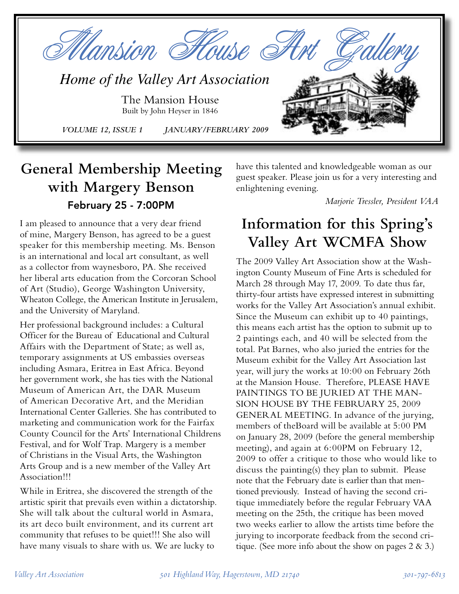

# **General Membership Meeting with Margery Benson** February 25 - 7:00PM

I am pleased to announce that a very dear friend of mine, Margery Benson, has agreed to be a guest speaker for this membership meeting. Ms. Benson is an international and local art consultant, as well as a collector from waynesboro, PA. She received her liberal arts education from the Corcoran School of Art (Studio), George Washington University, Wheaton College, the American Institute in Jerusalem, and the University of Maryland.

Her professional background includes: a Cultural Officer for the Bureau of Educational and Cultural Affairs with the Department of State; as well as, temporary assignments at US embassies overseas including Asmara, Eritrea in East Africa. Beyond her government work, she has ties with the National Museum of American Art, the DAR Museum of American Decorative Art, and the Meridian International Center Galleries. She has contributed to marketing and communication work for the Fairfax County Council for the Arts' International Childrens Festival, and for Wolf Trap. Margery is a member of Christians in the Visual Arts, the Washington Arts Group and is a new member of the Valley Art Association!!!

While in Eritrea, she discovered the strength of the artistic spirit that prevails even within a dictatorship. She will talk about the cultural world in Asmara, its art deco built environment, and its current art community that refuses to be quiet!!! She also will have many visuals to share with us. We are lucky to

have this talented and knowledgeable woman as our guest speaker. Please join us for a very interesting and enlightening evening.

*Marjorie Tressler, President VAA*

# **Information for this Spring's Valley Art WCMFA Show**

The 2009 Valley Art Association show at the Washington County Museum of Fine Arts is scheduled for March 28 through May 17, 2009. To date thus far, thirty-four artists have expressed interest in submitting works for the Valley Art Association's annual exhibit. Since the Museum can exhibit up to 40 paintings, this means each artist has the option to submit up to 2 paintings each, and 40 will be selected from the total. Pat Barnes, who also juried the entries for the Museum exhibit for the Valley Art Association last year, will jury the works at 10:00 on February 26th at the Mansion House. Therefore, PLEASE HAVE PAINTINGS TO BE JURIED AT THE MAN-SION HOUSE BY THE FEBRUARY 25, 2009 GENERAL MEETING. In advance of the jurying, members of theBoard will be available at 5:00 PM on January 28, 2009 (before the general membership meeting), and again at 6:00PM on February 12, 2009 to offer a critique to those who would like to discuss the painting(s) they plan to submit. Please note that the February date is earlier than that mentioned previously. Instead of having the second critique immediately before the regular February VAA meeting on the 25th, the critique has been moved two weeks earlier to allow the artists time before the jurying to incorporate feedback from the second critique. (See more info about the show on pages  $2 \& 3$ .)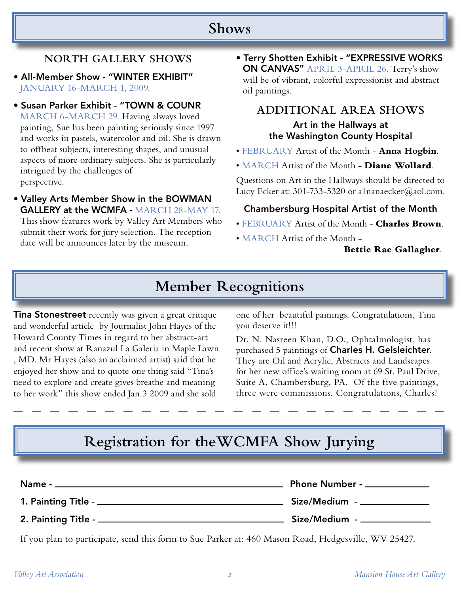### **Shows**

#### **NORTH GALLERY SHOWS**

- All-Member Show "WINTER EXHIBIT" JANUARY 16-MARCH 1, 2009.
- Susan Parker Exhibit "TOWN & COUNR MARCH 6-MARCH 29. Having always loved painting, Sue has been painting seriously since 1997 and works in pastels, watercolor and oil. She is drawn to offbeat subjects, interesting shapes, and unusual aspects of more ordinary subjects. She is particularly intrigued by the challenges of perspective.
- Valley Arts Member Show in the BOWMAN GALLERY at the WCMFA - MARCH 28-MAY 17. This show features work by Valley Art Members who submit their work for jury selection. The reception

date will be announces later by the museum.

• Terry Shotten Exhibit - "EXPRESSIVE WORKS ON CANVAS" APRIL 3-APRIL 26. Terry's show will be of vibrant, colorful expressionist and abstract oil paintings.

#### **ADDITIONAL AREA SHOWS** Art in the Hallways at the Washington County Hospital

- FEBRUARY Artist of the Month **Anna Hogbin**.
- MARCH Artist of the Month **Diane Wollard**.

Questions on Art in the Hallways should be directed to Lucy Ecker at: 301-733-5320 or a1nanaecker@aol.com.

#### Chambersburg Hospital Artist of the Month

- FEBRUARY Artist of the Month **Charles Brown**.
- MARCH Artist of the Month -

**Bettie Rae Gallagher**.

### **Member Recognitions**

**Tina Stonestreet** recently was given a great critique and wonderful article by Journalist John Hayes of the Howard County Times in regard to her abstract-art and recent show at Ranazul La Galeria in Maple Lawn , MD. Mr Hayes (also an acclaimed artist) said that he enjoyed her show and to quote one thing said "Tina's need to explore and create gives breathe and meaning to her work" this show ended Jan.3 2009 and she sold

one of her beautiful painings. Congratulations, Tina you deserve it!!!

Dr. N. Nasreen Khan, D.O., Ophtalmologist, has purchased 5 paintings of Charles H. Gelsleichter. They are Oil and Acrylic, Abstracts and Landscapes for her new office's waiting room at 69 St. Paul Drive, Suite A, Chambersburg, PA. Of the five paintings, three were commissions. Congratulations, Charles!

# **Registration for theWCMFA Show Jurying**

| Name -.                       | Phone Number - _____________ |  |
|-------------------------------|------------------------------|--|
| 1. Painting Title - ____      | Size/Medium - _________      |  |
| 2. Painting Title - _________ | Size/Medium - _____________  |  |

If you plan to participate, send this form to Sue Parker at: 460 Mason Road, Hedgesville, WV 25427.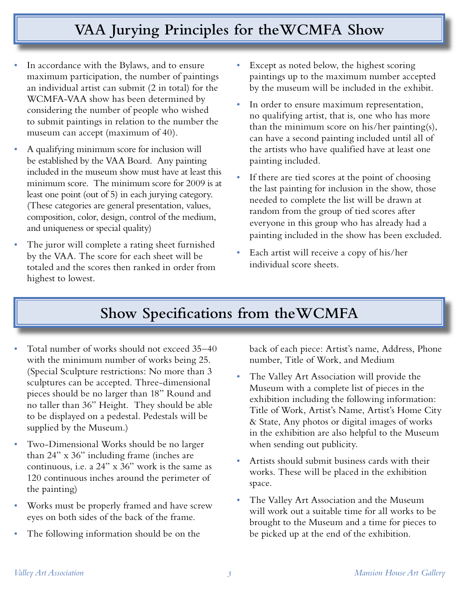# **VAA Jurying Principles for theWCMFA Show**

- In accordance with the Bylaws, and to ensure maximum participation, the number of paintings an individual artist can submit (2 in total) for the WCMFA-VAA show has been determined by considering the number of people who wished to submit paintings in relation to the number the museum can accept (maximum of 40).
- *•* A qualifying minimum score for inclusion will be established by the VAA Board. Any painting included in the museum show must have at least this minimum score. The minimum score for 2009 is at least one point (out of 5) in each jurying category. (These categories are general presentation, values, composition, color, design, control of the medium, and uniqueness or special quality)
- The juror will complete a rating sheet furnished by the VAA. The score for each sheet will be totaled and the scores then ranked in order from highest to lowest.
- Except as noted below, the highest scoring paintings up to the maximum number accepted by the museum will be included in the exhibit.
- In order to ensure maximum representation, no qualifying artist, that is, one who has more than the minimum score on his/her painting(s), can have a second painting included until all of the artists who have qualified have at least one painting included.
- If there are tied scores at the point of choosing the last painting for inclusion in the show, those needed to complete the list will be drawn at random from the group of tied scores after everyone in this group who has already had a painting included in the show has been excluded.
- *•* Each artist will receive a copy of his/her individual score sheets.

## **Show Specifications from theWCMFA**

- *•* Total number of works should not exceed 35–40 with the minimum number of works being 25. (Special Sculpture restrictions: No more than 3 sculptures can be accepted. Three-dimensional pieces should be no larger than 18" Round and no taller than 36" Height. They should be able to be displayed on a pedestal. Pedestals will be supplied by the Museum.)
- *•* Two-Dimensional Works should be no larger than 24" x 36" including frame (inches are continuous, i.e. a 24" x 36" work is the same as 120 continuous inches around the perimeter of the painting)
- *•* Works must be properly framed and have screw eyes on both sides of the back of the frame.
- *•* The following information should be on the

back of each piece: Artist's name, Address, Phone number, Title of Work, and Medium

- *•* The Valley Art Association will provide the Museum with a complete list of pieces in the exhibition including the following information: Title of Work, Artist's Name, Artist's Home City & State, Any photos or digital images of works in the exhibition are also helpful to the Museum when sending out publicity.
- *•* Artists should submit business cards with their works. These will be placed in the exhibition space.
- *•* The Valley Art Association and the Museum will work out a suitable time for all works to be brought to the Museum and a time for pieces to be picked up at the end of the exhibition.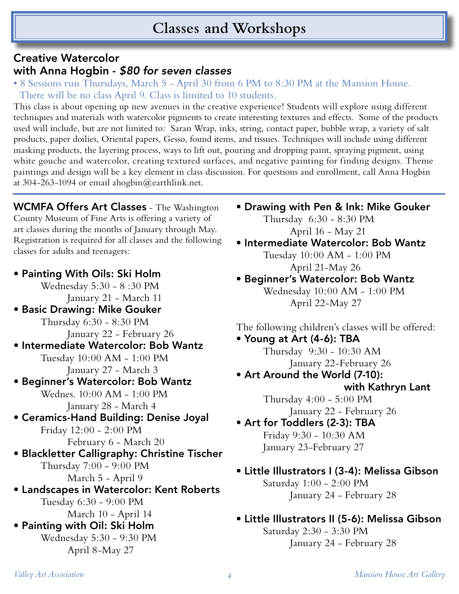## **Classes and Workshops**

### Creative Watercolor with Anna Hogbin - \$80 for seven classes

• 8 Sessions run Thursdays, March 5 - April 30 from 6 PM to 8:30 PM at the Mansion House. There will be no class April 9. Class is limited to 10 students.

This class is about opening up new avenues in the creative experience! Students will explore using different techniques and materials with watercolor pigments to create interesting textures and effects. Some of the products used will include, but are not limited to: Saran Wrap, inks, string, contact paper, bubble wrap, a variety of salt products, paper doilies, Oriental papers, Gesso, found items, and tissues. Techniques will include using different masking products, the layering process, ways to lift out, pouring and dropping paint, spraying pigment, using white gouche and watercolor, creating textured surfaces, and negative painting for finding designs. Theme paintings and design will be a key element in class discussion. For questions and enrollment, call Anna Hogbin at 304-263-1094 or email ahogbin@earthlink.net.

WCMFA Offers Art Classes - The Washington County Museum of Fine Arts is offering a variety of art classes during the months of January through May. Registration is required for all classes and the following classes for adults and teenagers:

- Painting With Oils: Ski Holm Wednesday 5:30 - 8 :30 PM January 21 - March 11 • Basic Drawing: Mike Gouker Thursday 6:30 - 8:30 PM January 22 - February 26 • Intermediate Watercolor: Bob Wantz Tuesday 10:00 AM - 1:00 PM January 27 - March 3 • Beginner's Watercolor: Bob Wantz Wednes. 10:00 AM - 1:00 PM January 28 - March 4 • Ceramics-Hand Building: Denise Joyal Friday 12:00 - 2:00 PM February 6 - March 20 • Blackletter Calligraphy: Christine Tischer Thursday 7:00 - 9:00 PM March 5 - April 9 • Landscapes in Watercolor: Kent Roberts Tuesday 6:30 - 9:00 PM March 10 - April 14 • Painting with Oil: Ski Holm Wednesday 5:30 - 9:30 PM April 8-May 27
- Drawing with Pen & Ink: Mike Gouker

 Thursday 6:30 - 8:30 PM April 16 - May 21

• Intermediate Watercolor: Bob Wantz

 Tuesday 10:00 AM - 1:00 PM April 21-May 26

• Beginner's Watercolor: Bob Wantz Wednesday 10:00 AM - 1:00 PM April 22-May 27

The following children's classes will be offered:

• Young at Art (4-6): TBA Thursday 9:30 - 10:30 AM

January 22-February 26

• Art Around the World (7-10): with Kathryn Lant

 Thursday 4:00 - 5:00 PM January 22 - February 26

- Art for Toddlers (2-3): TBA Friday 9:30 - 10:30 AM January 23-February 27
- Little Illustrators I (3-4): Melissa Gibson Saturday 1:00 - 2:00 PM January 24 - February 28
- Little Illustrators II (5-6): Melissa Gibson Saturday 2:30 - 3:30 PM January 24 - February 28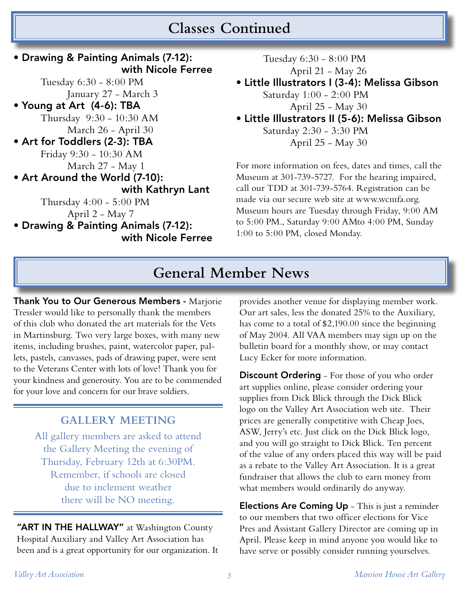### **Classes Continued**

#### **General Member News** • Drawing & Painting Animals (7-12): with Nicole Ferree Tuesday 6:30 - 8:00 PM January 27 - March 3 • Young at Art (4-6): TBA Thursday 9:30 - 10:30 AM March 26 - April 30 • Art for Toddlers (2-3): TBA Friday 9:30 - 10:30 AM March 27 - May 1 • Art Around the World (7-10): with Kathryn Lant Thursday 4:00 - 5:00 PM April 2 - May 7 • Drawing & Painting Animals (7-12): with Nicole Ferree

Thank You to Our Generous Members - Marjorie Tressler would like to personally thank the members of this club who donated the art materials for the Vets in Martinsburg. Two very large boxes, with many new items, including brushes, paint, watercolor paper, pallets, pastels, canvasses, pads of drawing paper, were sent to the Veterans Center with lots of love! Thank you for your kindness and generosity. You are to be commended for your love and concern for our brave soldiers.

#### **GALLERY MEETING**

All gallery members are asked to attend the Gallery Meeting the evening of Thursday, February 12th at 6:30PM. Remember, if schools are closed due to inclement weather there will be NO meeting.

"ART IN THE HALLWAY" at Washington County Hospital Auxiliary and Valley Art Association has been and is a great opportunity for our organization. It

provides another venue for displaying member work. Our art sales, less the donated 25% to the Auxiliary, has come to a total of \$2,190.00 since the beginning of May 2004. All VAA members may sign up on the bulletin board for a monthly show, or may contact Lucy Ecker for more information.

Tuesday 6:30 - 8:00 PM

Saturday 1:00 - 2:00 PM

Saturday 2:30 - 3:30 PM

1:00 to 5:00 PM, closed Monday.

 April 21 - May 26 • Little Illustrators I (3-4): Melissa Gibson

 April 25 - May 30 • Little Illustrators II (5-6): Melissa Gibson

April 25 - May 30

For more information on fees, dates and times, call the Museum at 301-739-5727. For the hearing impaired, call our TDD at 301-739-5764. Registration can be made via our secure web site at www.wcmfa.org. Museum hours are Tuesday through Friday, 9:00 AM to 5:00 PM., Saturday 9:00 AMto 4:00 PM, Sunday

Discount Ordering - For those of you who order art supplies online, please consider ordering your supplies from Dick Blick through the Dick Blick logo on the Valley Art Association web site. Their prices are generally competitive with Cheap Joes, ASW, Jerry's etc. Just click on the Dick Blick logo, and you will go straight to Dick Blick. Ten percent of the value of any orders placed this way will be paid as a rebate to the Valley Art Association. It is a great fundraiser that allows the club to earn money from what members would ordinarily do anyway.

Elections Are Coming Up - This is just a reminder to our members that two officer elections for Vice Pres and Assistant Gallery Director are coming up in April. Please keep in mind anyone you would like to have serve or possibly consider running yourselves.